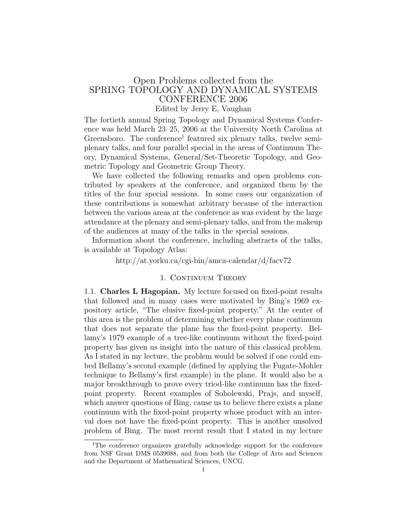# Open Problems collected from the SPRING TOPOLOGY AND DYNAMICAL SYSTEMS CONFERENCE 2006 Edited by Jerry E, Vaughan

The fortieth annual Spring Topology and Dynamical Systems Conference was held March 23–25, 2006 at the University North Carolina at Greensboro. The conference<sup>1</sup> featured six plenary talks, twelve semiplenary talks, and four parallel special in the areas of Continuum Theory, Dynamical Systems, General/Set-Theoretic Topology, and Geometric Topology and Geometric Group Theory.

We have collected the following remarks and open problems contributed by speakers at the conference, and organized them by the titles of the four special sessions. In some cases our organization of these contributions is somewhat arbitrary because of the interaction between the various areas at the conference as was evident by the large attendance at the plenary and semi-plenary talks, and from the makeup of the audiences at many of the talks in the special sessions.

Information about the conference, including abstracts of the talks, is available at Topology Atlas:

### http://at.yorku.ca/cgi-bin/amca-calendar/d/facv72

## 1. CONTINUUM THEORY

1.1. Charles L Hagopian. My lecture focused on fixed-point results that followed and in many cases were motivated by Bing's 1969 expository article, "The elusive fixed-point property." At the center of this area is the problem of determining whether every plane continuum that does not separate the plane has the fixed-point property. Bellamy's 1979 example of a tree-like continuum without the fixed-point property has given us insight into the nature of this classical problem. As I stated in my lecture, the problem would be solved if one could embed Bellamy's second example (defined by applying the Fugate-Mohler technique to Bellamy's first example) in the plane. It would also be a major breakthrough to prove every triod-like continuum has the fixedpoint property. Recent examples of Sobolewski, Prajs, and myself, which answer questions of Bing, cause us to believe there exists a plane continuum with the fixed-point property whose product with an interval does not have the fixed-point property. This is another unsolved problem of Bing. The most recent result that I stated in my lecture

<sup>&</sup>lt;sup>1</sup>The conference organizers gratefully acknowledge support for the conference from NSF Grant DMS 0539088, and from both the College of Arts and Sciences and the Department of Mathematical Sciences, UNCG.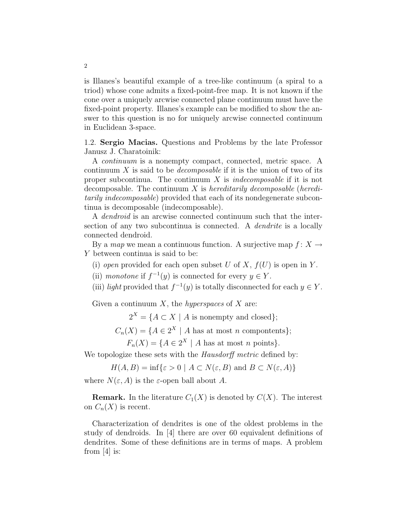is Illanes's beautiful example of a tree-like continuum (a spiral to a triod) whose cone admits a fixed-point-free map. It is not known if the cone over a uniquely arcwise connected plane continuum must have the fixed-point property. Illanes's example can be modified to show the answer to this question is no for uniquely arcwise connected continuum in Euclidean 3-space.

1.2. Sergio Macias. Questions and Problems by the late Professor Janusz J. Charatoinik:

A continuum is a nonempty compact, connected, metric space. A continuum  $X$  is said to be *decomposable* if it is the union of two of its proper subcontinua. The continuum  $X$  is *indecomposable* if it is not decomposable. The continuum  $X$  is hereditarily decomposable (hereditarily indecomposable) provided that each of its nondegenerate subcontinua is decomposable (indecomposable).

A dendroid is an arcwise connected continuum such that the intersection of any two subcontinua is connected. A *dendrite* is a locally connected dendroid.

By a map we mean a continuous function. A surjective map  $f: X \to Y$ Y between continua is said to be:

(i) open provided for each open subset U of X,  $f(U)$  is open in Y.

(ii) monotone if  $f^{-1}(y)$  is connected for every  $y \in Y$ .

(iii) light provided that  $f^{-1}(y)$  is totally disconnected for each  $y \in Y$ .

Given a continuum  $X$ , the *hyperspaces* of  $X$  are:

 $2^X = \{A \subset X \mid A \text{ is nonempty and closed}\};$ 

 $C_n(X) = \{A \in 2^X \mid A \text{ has at most } n \text{ components}\};$ 

 $F_n(X) = \{A \in 2^X \mid A \text{ has at most } n \text{ points}\}.$ 

We topologize these sets with the *Hausdorff metric* defined by:

 $H(A, B) = \inf \{ \varepsilon > 0 \mid A \subset N(\varepsilon, B) \text{ and } B \subset N(\varepsilon, A) \}$ 

where  $N(\varepsilon, A)$  is the  $\varepsilon$ -open ball about A.

**Remark.** In the literature  $C_1(X)$  is denoted by  $C(X)$ . The interest on  $C_n(X)$  is recent.

Characterization of dendrites is one of the oldest problems in the study of dendroids. In [4] there are over 60 equivalent definitions of dendrites. Some of these definitions are in terms of maps. A problem from [4] is: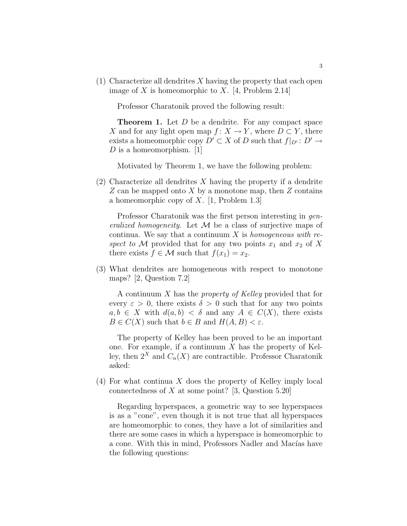$(1)$  Characterize all dendrites X having the property that each open image of X is homeomorphic to X. [4, Problem 2.14]

Professor Charatonik proved the following result:

**Theorem 1.** Let D be a dendrite. For any compact space X and for any light open map  $f: X \to Y$ , where  $D \subset Y$ , there exists a homeomorphic copy  $D' \subset X$  of D such that  $f|_{D'} : D' \to Y$ D is a homeomorphism.  $[1]$ 

Motivated by Theorem 1, we have the following problem:

 $(2)$  Characterize all dendrites X having the property if a dendrite Z can be mapped onto X by a monotone map, then Z contains a homeomorphic copy of  $X$ . [1, Problem 1.3]

Professor Charatonik was the first person interesting in generalized homogeneity. Let  $\mathcal M$  be a class of surjective maps of continua. We say that a continuum  $X$  is *homogeneous with re*spect to M provided that for any two points  $x_1$  and  $x_2$  of X there exists  $f \in \mathcal{M}$  such that  $f(x_1) = x_2$ .

(3) What dendrites are homogeneous with respect to monotone maps? [2, Question 7.2]

A continuum X has the property of Kelley provided that for every  $\varepsilon > 0$ , there exists  $\delta > 0$  such that for any two points  $a, b \in X$  with  $d(a, b) < \delta$  and any  $A \in C(X)$ , there exists  $B \in C(X)$  such that  $b \in B$  and  $H(A, B) < \varepsilon$ .

The property of Kelley has been proved to be an important one. For example, if a continuum  $X$  has the property of Kelley, then  $2^X$  and  $C_n(X)$  are contractible. Professor Charatonik asked:

(4) For what continua X does the property of Kelley imply local connectedness of  $X$  at some point? [3, Question 5.20]

Regarding hyperspaces, a geometric way to see hyperspaces is as a "cone", even though it is not true that all hyperspaces are homeomorphic to cones, they have a lot of similarities and there are some cases in which a hyperspace is homeomorphic to a cone. With this in mind, Professors Nadler and Macías have the following questions: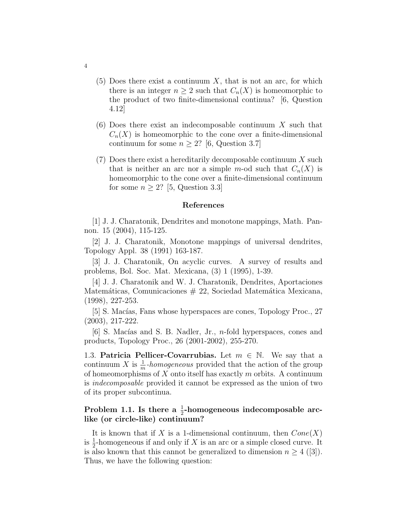- $(5)$  Does there exist a continuum X, that is not an arc, for which there is an integer  $n \geq 2$  such that  $C_n(X)$  is homeomorphic to the product of two finite-dimensional continua? [6, Question 4.12]
- $(6)$  Does there exist an indecomposable continuum X such that  $C_n(X)$  is homeomorphic to the cone over a finite-dimensional continuum for some  $n \geq 2$ ? [6, Question 3.7]
- $(7)$  Does there exist a hereditarily decomposable continuum X such that is neither an arc nor a simple m-od such that  $C_n(X)$  is homeomorphic to the cone over a finite-dimensional continuum for some  $n > 2$ ? [5, Question 3.3]

### References

[1] J. J. Charatonik, Dendrites and monotone mappings, Math. Pannon. 15 (2004), 115-125.

[2] J. J. Charatonik, Monotone mappings of universal dendrites, Topology Appl. 38 (1991) 163-187.

[3] J. J. Charatonik, On acyclic curves. A survey of results and problems, Bol. Soc. Mat. Mexicana, (3) 1 (1995), 1-39.

[4] J. J. Charatonik and W. J. Charatonik, Dendrites, Aportaciones Matemáticas, Comunicaciones  $# 22$ , Sociedad Matemática Mexicana, (1998), 227-253.

[5] S. Macías, Fans whose hyperspaces are cones, Topology Proc., 27 (2003), 217-222.

[6] S. Macías and S. B. Nadler, Jr., *n*-fold hyperspaces, cones and products, Topology Proc., 26 (2001-2002), 255-270.

1.3. **Patricia Pellicer-Covarrubias.** Let  $m \in \mathbb{N}$ . We say that a continuum X is  $\frac{1}{m}$ -homogeneous provided that the action of the group of homeomorphisms of  $X$  onto itself has exactly  $m$  orbits. A continuum is indecomposable provided it cannot be expressed as the union of two of its proper subcontinua.

# Problem 1.1. Is there a  $\frac{1}{2}$ -homogeneous indecomposable arclike (or circle-like) continuum?

It is known that if X is a 1-dimensional continuum, then  $Cone(X)$ is  $\frac{1}{2}$ -homogeneous if and only if X is an arc or a simple closed curve. It is also known that this cannot be generalized to dimension  $n \geq 4$  ([3]). Thus, we have the following question: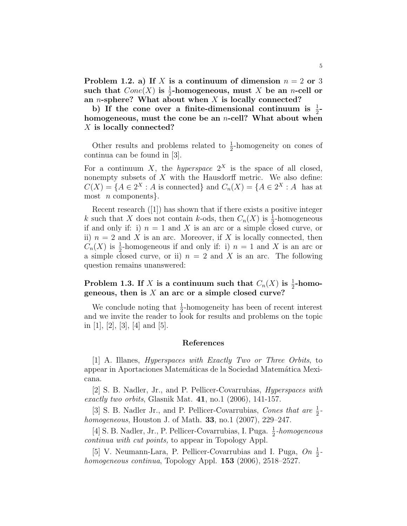Problem 1.2. a) If X is a continuum of dimension  $n = 2$  or 3 such that  $Cone(X)$  is  $\frac{1}{2}$ -homogeneous, must X be an *n*-cell or an *n*-sphere? What about when  $X$  is locally connected?

b) If the cone over a finite-dimensional continuum is  $\frac{1}{2}$ homogeneous, must the cone be an *n*-cell? What about when X is locally connected?

Other results and problems related to  $\frac{1}{2}$ -homogeneity on cones of continua can be found in [3].

For a continuum X, the *hyperspace*  $2^X$  is the space of all closed, nonempty subsets of  $X$  with the Hausdorff metric. We also define:  $C(X) = \{A \in 2^X : A \text{ is connected}\}\$ and  $C_n(X) = \{A \in 2^X : A \text{ has at }$ most  $n$  components.

Recent research ([1]) has shown that if there exists a positive integer k such that X does not contain k-ods, then  $C_n(X)$  is  $\frac{1}{2}$ -homogeneous if and only if: i)  $n = 1$  and X is an arc or a simple closed curve, or ii)  $n = 2$  and X is an arc. Moreover, if X is locally connected, then  $C_n(X)$  is  $\frac{1}{2}$ -homogeneous if and only if: i)  $n = 1$  and X is an arc or a simple closed curve, or ii)  $n = 2$  and X is an arc. The following question remains unanswered:

Problem 1.3. If X is a continuum such that  $C_n(X)$  is  $\frac{1}{2}$ -homogeneous, then is  $X$  an arc or a simple closed curve?

We conclude noting that  $\frac{1}{2}$ -homogeneity has been of recent interest and we invite the reader to look for results and problems on the topic in [1], [2], [3], [4] and [5].

### References

 $[1]$  A. Illanes, *Hyperspaces with Exactly Two or Three Orbits*, to appear in Aportaciones Matemáticas de la Sociedad Matemática Mexicana.

[2] S. B. Nadler, Jr., and P. Pellicer-Covarrubias, Hyperspaces with exactly two orbits, Glasnik Mat.  $41$ , no.1 (2006), 141-157.

[3] S. B. Nadler Jr., and P. Pellicer-Covarrubias, Cones that are  $\frac{1}{2}$ homogeneous, Houston J. of Math. 33, no.1 (2007), 229–247.

[4] S. B. Nadler, Jr., P. Pellicer-Covarrubias, I. Puga.  $\frac{1}{2}$ -homogeneous continua with cut points, to appear in Topology Appl.

[5] V. Neumann-Lara, P. Pellicer-Covarrubias and I. Puga,  $On \frac{1}{2}$ homogeneous continua, Topology Appl. **153** (2006), 2518–2527.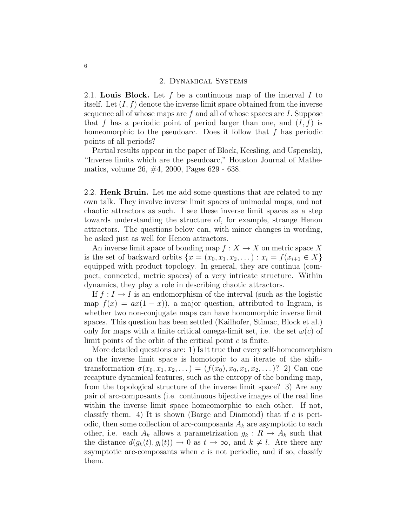### 2. Dynamical Systems

2.1. Louis Block. Let  $f$  be a continuous map of the interval  $I$  to itself. Let  $(I, f)$  denote the inverse limit space obtained from the inverse sequence all of whose maps are  $f$  and all of whose spaces are  $I$ . Suppose that f has a periodic point of period larger than one, and  $(I, f)$  is homeomorphic to the pseudoarc. Does it follow that  $f$  has periodic points of all periods?

Partial results appear in the paper of Block, Keesling, and Uspenskij, "Inverse limits which are the pseudoarc," Houston Journal of Mathematics, volume 26, #4, 2000, Pages 629 - 638.

2.2. Henk Bruin. Let me add some questions that are related to my own talk. They involve inverse limit spaces of unimodal maps, and not chaotic attractors as such. I see these inverse limit spaces as a step towards understanding the structure of, for example, strange Henon attractors. The questions below can, with minor changes in wording, be asked just as well for Henon attractors.

An inverse limit space of bonding map  $f : X \to X$  on metric space X is the set of backward orbits  $\{x = (x_0, x_1, x_2, ...) : x_i = f(x_{i+1} \in X\}$ equipped with product topology. In general, they are continua (compact, connected, metric spaces) of a very intricate structure. Within dynamics, they play a role in describing chaotic attractors.

If  $f: I \to I$  is an endomorphism of the interval (such as the logistic map  $f(x) = ax(1-x)$ , a major question, attributed to Ingram, is whether two non-conjugate maps can have homomorphic inverse limit spaces. This question has been settled (Kailhofer, Stimac, Block et al.) only for maps with a finite critical omega-limit set, i.e. the set  $\omega(c)$  of limit points of the orbit of the critical point  $c$  is finite.

More detailed questions are: 1) Is it true that every self-homeomorphism on the inverse limit space is homotopic to an iterate of the shifttransformation  $\sigma(x_0, x_1, x_2, ...) = (f(x_0), x_0, x_1, x_2, ...)$ ? 2) Can one recapture dynamical features, such as the entropy of the bonding map, from the topological structure of the inverse limit space? 3) Are any pair of arc-composants (i.e. continuous bijective images of the real line within the inverse limit space homeomorphic to each other. If not, classify them. 4) It is shown (Barge and Diamond) that if  $c$  is periodic, then some collection of arc-composants  $A_k$  are asymptotic to each other, i.e. each  $A_k$  allows a parametrization  $g_k : R \to A_k$  such that the distance  $d(q_k(t), q_l(t)) \to 0$  as  $t \to \infty$ , and  $k \neq l$ . Are there any asymptotic arc-composants when  $c$  is not periodic, and if so, classify them.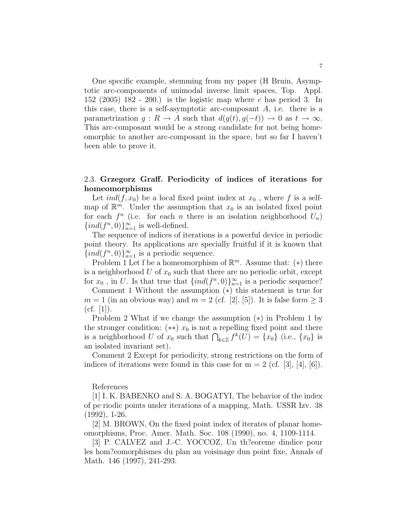One specific example, stemming from my paper (H Bruin, Asymptotic arc-components of unimodal inverse limit spaces, Top. Appl. 152 (2005) 182 - 200.) is the logistic map where c has period 3. In this case, there is a self-asymptotic arc-composant  $A$ , i.e. there is a parametrization  $q: R \to A$  such that  $d(q(t), q(-t)) \to 0$  as  $t \to \infty$ . This arc-composant would be a strong candidate for not being homeomorphic to another arc-composant in the space, but so far I haven't been able to prove it.

# 2.3. Grzegorz Graff. Periodicity of indices of iterations for homeomorphisms

Let  $ind(f, x_0)$  be a local fixed point index at  $x_0$ , where f is a selfmap of  $\mathbb{R}^m$ . Under the assumption that  $x_0$  is an isolated fixed point for each  $f^n$  (i.e. for each n there is an isolation neighborhood  $U_n$ )  $\{ind(f^n,0)\}_{n=1}^\infty$  is well-defined.

The sequence of indices of iterations is a powerful device in periodic point theory. Its applications are specially fruitful if it is known that  ${ind}(f^n, 0)$ <sub>n=1</sub> is a periodic sequence.

Problem 1 Let f be a homeomorphism of  $\mathbb{R}^m$ . Assume that: (\*) there is a neighborhood U of  $x_0$  such that there are no periodic orbit, except for  $x_0$ , in U. Is that true that  $\{ind(f^n, 0)\}_{n=1}^{\infty}$  is a periodic sequence?

Comment 1 Without the assumption (∗) this statement is true for  $m = 1$  (in an obvious way) and  $m = 2$  (cf. [2], [5]). It is false for  $m \geq 3$  $(cf. [1]).$ 

Problem 2 What if we change the assumption (∗) in Problem 1 by the stronger condition:  $(**)$  x<sub>0</sub> is not a repelling fixed point and there is a neighborhood U of  $x_0$  such that  $\bigcap_{k\in\mathbb{Z}} f^k(U) = \{x_0\}$  (i.e.,  $\{x_0\}$  is an isolated invariant set).

Comment 2 Except for periodicity, strong restrictions on the form of indices of iterations were found in this case for  $m = 2$  (cf. [3], [4], [6]).

References

[1] I. K. BABENKO and S. A. BOGATYI, The behavior of the index of pe riodic points under iterations of a mapping, Math. USSR Izv. 38 (1992), 1-26.

[2] M. BROWN, On the fixed point index of iterates of planar homeomorphisms, Proc. Amer. Math. Soc. 108 (1990), no. 4, 1109-1114.

[3] P. CALVEZ and J.-C. YOCCOZ, Un th?eoreme dindice pour les hom?eomorphismes du plan au voisinage dun point fixe, Annals of Math. 146 (1997), 241-293.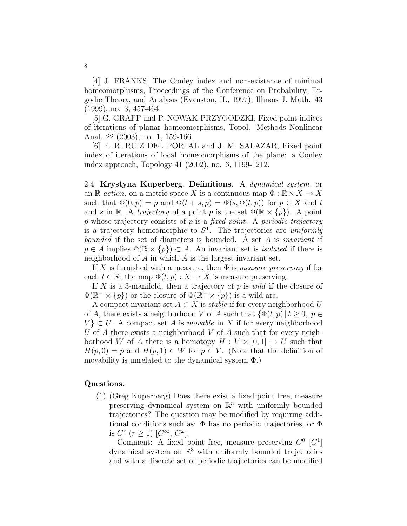[4] J. FRANKS, The Conley index and non-existence of minimal homeomorphisms, Proceedings of the Conference on Probability, Ergodic Theory, and Analysis (Evanston, IL, 1997), Illinois J. Math. 43 (1999), no. 3, 457-464.

[5] G. GRAFF and P. NOWAK-PRZYGODZKI, Fixed point indices of iterations of planar homeomorphisms, Topol. Methods Nonlinear Anal. 22 (2003), no. 1, 159-166.

[6] F. R. RUIZ DEL PORTAL and J. M. SALAZAR, Fixed point index of iterations of local homeomorphisms of the plane: a Conley index approach, Topology 41 (2002), no. 6, 1199-1212.

2.4. Krystyna Kuperberg. Definitions. A dynamical system, or an R-action, on a metric space X is a continuous map  $\Phi : \mathbb{R} \times X \to X$ such that  $\Phi(0, p) = p$  and  $\Phi(t + s, p) = \Phi(s, \Phi(t, p))$  for  $p \in X$  and t and s in R. A trajectory of a point p is the set  $\Phi(\mathbb{R} \times \{p\})$ . A point  $p$  whose trajectory consists of  $p$  is a fixed point. A periodic trajectory is a trajectory homeomorphic to  $S^1$ . The trajectories are *uniformly* bounded if the set of diameters is bounded. A set A is invariant if  $p \in A$  implies  $\Phi(\mathbb{R} \times \{p\}) \subset A$ . An invariant set is *isolated* if there is neighborhood of A in which A is the largest invariant set.

If X is furnished with a measure, then  $\Phi$  is *measure preserving* if for each  $t \in \mathbb{R}$ , the map  $\Phi(t, p) : X \to X$  is measure preserving.

If X is a 3-manifold, then a trajectory of p is wild if the closure of  $\Phi(\mathbb{R}^+\times\{p\})$  or the closure of  $\Phi(\mathbb{R}^+\times\{p\})$  is a wild arc.

A compact invariant set  $A \subset X$  is *stable* if for every neighborhood U of A, there exists a neighborhood V of A such that  $\{\Phi(t,p) | t \geq 0, p \in$  $V$   $\subset U$ . A compact set A is *movable* in X if for every neighborhood U of A there exists a neighborhood V of A such that for every neighborhood W of A there is a homotopy  $H: V \times [0,1] \to U$  such that  $H(p, 0) = p$  and  $H(p, 1) \in W$  for  $p \in V$ . (Note that the definition of movability is unrelated to the dynamical system  $\Phi$ .)

# Questions.

(1) (Greg Kuperberg) Does there exist a fixed point free, measure preserving dynamical system on  $\mathbb{R}^3$  with uniformly bounded trajectories? The question may be modified by requiring additional conditions such as:  $\Phi$  has no periodic trajectories, or  $\Phi$ is  $C^r$   $(r \ge 1)$   $[C^{\infty}, C^{\omega}]$ .

Comment: A fixed point free, measure preserving  $C^0$   $[C^1]$ dynamical system on  $\mathbb{R}^3$  with uniformly bounded trajectories and with a discrete set of periodic trajectories can be modified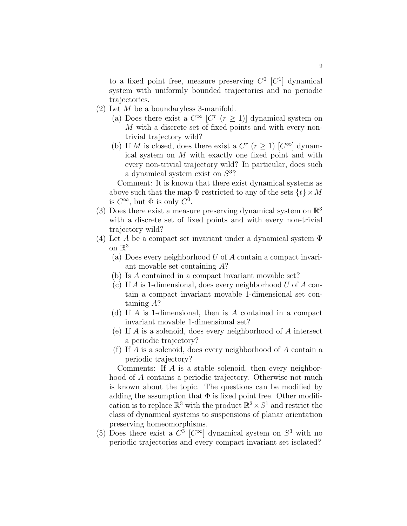to a fixed point free, measure preserving  $C^0$  [ $C^1$ ] dynamical system with uniformly bounded trajectories and no periodic trajectories.

- (2) Let M be a boundaryless 3-manifold.
	- (a) Does there exist a  $C^{\infty}$   $\lbrack C^{r} \rbrack (r \geq 1)$  dynamical system on M with a discrete set of fixed points and with every nontrivial trajectory wild?
	- (b) If M is closed, does there exist a  $C^r$   $(r \ge 1)$   $[C^{\infty}]$  dynamical system on M with exactly one fixed point and with every non-trivial trajectory wild? In particular, does such a dynamical system exist on  $S^3$ ?

Comment: It is known that there exist dynamical systems as above such that the map  $\Phi$  restricted to any of the sets  $\{t\} \times M$ is  $C^{\infty}$ , but  $\Phi$  is only  $C^0$ .

- (3) Does there exist a measure preserving dynamical system on  $\mathbb{R}^3$ with a discrete set of fixed points and with every non-trivial trajectory wild?
- (4) Let A be a compact set invariant under a dynamical system  $\Phi$ on  $\mathbb{R}^3$ .
	- (a) Does every neighborhood U of A contain a compact invariant movable set containing A?
	- (b) Is A contained in a compact invariant movable set?
	- (c) If A is 1-dimensional, does every neighborhood U of A contain a compact invariant movable 1-dimensional set containing A?
	- (d) If A is 1-dimensional, then is A contained in a compact invariant movable 1-dimensional set?
	- (e) If A is a solenoid, does every neighborhood of A intersect a periodic trajectory?
	- (f) If A is a solenoid, does every neighborhood of A contain a periodic trajectory?

Comments: If A is a stable solenoid, then every neighborhood of A contains a periodic trajectory. Otherwise not much is known about the topic. The questions can be modified by adding the assumption that  $\Phi$  is fixed point free. Other modification is to replace  $\mathbb{R}^3$  with the product  $\mathbb{R}^2 \times S^1$  and restrict the class of dynamical systems to suspensions of planar orientation preserving homeomorphisms.

(5) Does there exist a  $C^3$  [ $C^{\infty}$ ] dynamical system on  $S^3$  with no periodic trajectories and every compact invariant set isolated?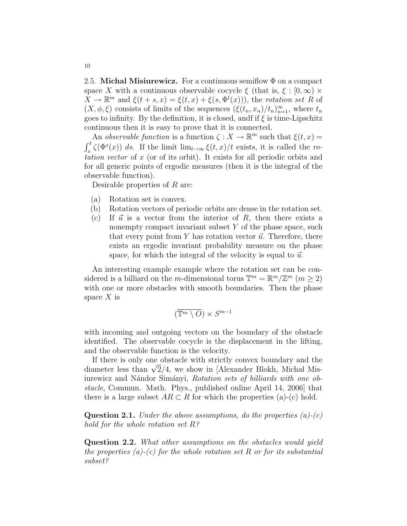2.5. Michal Misiurewicz. For a continuous semiflow  $\Phi$  on a compact space X with a continuous observable cocycle  $\xi$  (that is,  $\xi : [0, \infty) \times$  $X \to \mathbb{R}^m$  and  $\xi(t+s,x) = \xi(t,x) + \xi(s,\Phi^t(x))$ , the rotation set R of  $(X, \phi, \xi)$  consists of limits of the sequences  $(\xi(t_n, x_n)/t_n)_{n=1}^{\infty}$ , where  $t_n$ goes to infinity. By the definition, it is closed, andf if  $\xi$  is time-Lipschitz continuous then it is easy to prove that it is connected.

An *observable function* is a function  $\zeta : X \to \mathbb{R}^m$  such that  $\xi(t, x) =$  $\int_0^t \zeta(\Phi^s(x)) ds$ . If the limit  $\lim_{t\to\infty} \xi(t,x)/t$  exists, it is called the rotation vector of x (or of its orbit). It exists for all periodic orbits and for all generic points of ergodic measures (then it is the integral of the observable function).

Desirable properties of R are:

- (a) Rotation set is convex.
- (b) Rotation vectors of periodic orbits are dense in the rotation set.
- (c) If  $\vec{u}$  is a vector from the interior of R, then there exists a nonempty compact invariant subset  $Y$  of the phase space, such that every point from Y has rotation vector  $\vec{u}$ . Therefore, there exists an ergodic invariant probability measure on the phase space, for which the integral of the velocity is equal to  $\vec{u}$ .

An interesting example example where the rotation set can be considered is a billiard on the *m*-dimensional torus  $\mathbb{T}^m = \mathbb{R}^m / \mathbb{Z}^m$  ( $m \geq 2$ ) with one or more obstacles with smooth boundaries. Then the phase space  $X$  is

$$
(\overline{\mathbb{T}^m \setminus O}) \times S^{m-1}
$$

with incoming and outgoing vectors on the boundary of the obstacle identified. The observable cocycle is the displacement in the lifting, and the observable function is the velocity.

If there is only one obstacle with strictly convex boundary and the If there is only one obstacle with strictly convex boundary and the diameter less than  $\sqrt{2}/4$ , we show in [Alexander Blokh, Michał Misiurewicz and Nándor Simányi, Rotation sets of billiards with one obstacle, Commun. Math. Phys., published online April 14, 2006] that there is a large subset  $AR \subset R$  for which the properties (a)-(c) hold.

**Question 2.1.** Under the above assumptions, do the properties  $(a)-(c)$ hold for the whole rotation set  $R$ ?

Question 2.2. What other assumptions on the obstacles would yield the properties  $(a)-(c)$  for the whole rotation set R or for its substantial subset?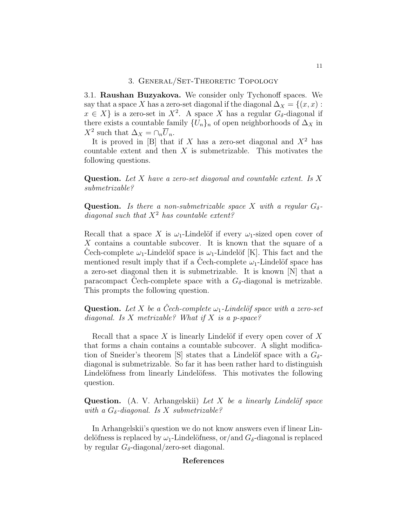# 3. General/Set-Theoretic Topology

3.1. Raushan Buzyakova. We consider only Tychonoff spaces. We say that a space X has a zero-set diagonal if the diagonal  $\Delta_X = \{(x, x):$  $x \in X$  is a zero-set in  $X^2$ . A space X has a regular  $G_{\delta}$ -diagonal if there exists a countable family  $\{U_n\}_n$  of open neighborhoods of  $\Delta_X$  in  $X^2$  such that  $\Delta_X = \cap_n \overline{U}_n$ .

It is proved in [B] that if X has a zero-set diagonal and  $X^2$  has countable extent and then  $X$  is submetrizable. This motivates the following questions.

**Question.** Let X have a zero-set diagonal and countable extent. Is X submetrizable?

**Question.** Is there a non-submetrizable space X with a regular  $G_{\delta}$ diagonal such that  $X^2$  has countable extent?

Recall that a space X is  $\omega_1$ -Lindelöf if every  $\omega_1$ -sized open cover of X contains a countable subcover. It is known that the square of a Cech-complete  $\omega_1$ -Lindelöf space is  $\omega_1$ -Lindelöf [K]. This fact and the mentioned result imply that if a Cech-complete  $\omega_1$ -Lindelöf space has a zero-set diagonal then it is submetrizable. It is known [N] that a paracompact Cech-complete space with a  $G_{\delta}$ -diagonal is metrizable. This prompts the following question.

**Question.** Let X be a Cech-complete  $\omega_1$ -Lindelöf space with a zero-set diagonal. Is X metrizable? What if X is a p-space?

Recall that a space X is linearly Lindelöf if every open cover of  $X$ that forms a chain contains a countable subcover. A slight modification of Sneider's theorem [S] states that a Lindelöf space with a  $G_{\delta}$ diagonal is submetrizable. So far it has been rather hard to distinguish Lindelöfness from linearly Lindelöfess. This motivates the following question.

**Question.** (A. V. Arhangelskii) Let X be a linearly Lindelöf space with a  $G_{\delta}$ -diagonal. Is X submetrizable?

In Arhangelskii's question we do not know answers even if linear Lindelöfness is replaced by  $\omega_1$ -Lindelöfness, or/and  $G_\delta$ -diagonal is replaced by regular  $G_{\delta}$ -diagonal/zero-set diagonal.

### References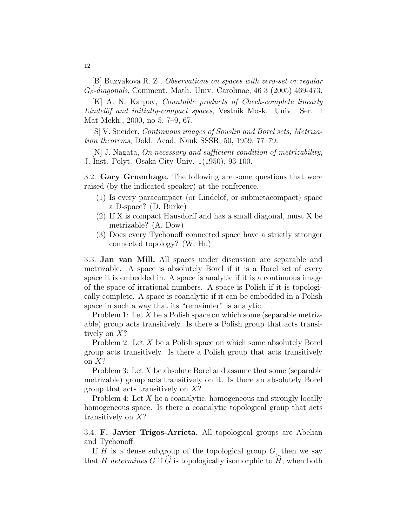[B] Buzyakova R. Z., Observations on spaces with zero-set or regular  $G_{\delta}$ -diagonals, Comment. Math. Univ. Carolinae, 46 3 (2005) 469-473.

[K] A. N. Karpov, *Countable products of Chech-complete linearly* Lindelöf and initially-compact spaces, Vestnik Mosk. Univ. Ser. I Mat-Mekh., 2000, no 5, 7–9, 67.

[S] V. Sneider, Continuous images of Souslin and Borel sets; Metrization theorems, Dokl. Acad. Nauk SSSR, 50, 1959, 77–79.

[N] J. Nagata, On necessary and sufficient condition of metrizability, J. Inst. Polyt. Osaka City Univ. 1(1950), 93-100.

3.2. Gary Gruenhage. The following are some questions that were raised (by the indicated speaker) at the conference.

- $(1)$  Is every paracompact (or Lindelöf, or submetacompact) space a D-space? (D. Burke)
- (2) If X is compact Hausdorff and has a small diagonal, must X be metrizable? (A. Dow)
- (3) Does every Tychonoff connected space have a strictly stronger connected topology? (W. Hu)

3.3. Jan van Mill. All spaces under discussion are separable and metrizable. A space is absolutely Borel if it is a Borel set of every space it is embedded in. A space is analytic if it is a continuous image of the space of irrational numbers. A space is Polish if it is topologically complete. A space is coanalytic if it can be embedded in a Polish space in such a way that its "remainder" is analytic.

Problem 1: Let  $X$  be a Polish space on which some (separable metrizable) group acts transitively. Is there a Polish group that acts transitively on X?

Problem 2: Let X be a Polish space on which some absolutely Borel group acts transitively. Is there a Polish group that acts transitively on X?

Problem 3: Let X be absolute Borel and assume that some (separable metrizable) group acts transitively on it. Is there an absolutely Borel group that acts transitively on  $X$ ?

Problem 4: Let X he a coanalytic, homogeneous and strongly locally homogeneous space. Is there a coanalytic topological group that acts transitively on X?

3.4. F. Javier Trigos-Arrieta. All topological groups are Abelian and Tychonoff.

If  $H$  is a dense subgroup of the topological group  $G$ , then we say that H determines G if  $\widehat{G}$  is topologically isomorphic to  $\widehat{H}$ , when both

12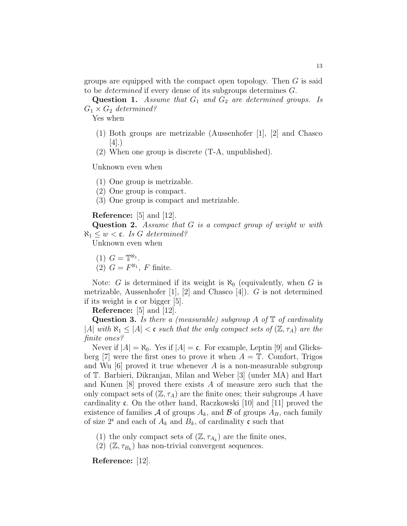groups are equipped with the compact open topology. Then G is said to be determined if every dense of its subgroups determines G.

**Question 1.** Assume that  $G_1$  and  $G_2$  are determined groups. Is  $G_1 \times G_2$  determined?

Yes when

- (1) Both groups are metrizable (Aussenhofer [1], [2] and Chasco [4].)
- (2) When one group is discrete (T-A, unpublished).

Unknown even when

(1) One group is metrizable.

- (2) One group is compact.
- (3) One group is compact and metrizable.

## Reference: [5] and [12].

Question 2. Assume that G is a compact group of weight w with  $\aleph_1 \leq w \leq \mathfrak{c}$ . Is G determined?

Unknown even when

$$
(1) G = \mathbb{T}^{\aleph_1}.
$$

(2)  $G = F^{\aleph_1}$ , F finite.

Note: G is determined if its weight is  $\aleph_0$  (equivalently, when G is metrizable, Aussenhofer [1], [2] and Chasco [4]).  $G$  is not determined if its weight is  $\mathfrak c$  or bigger [5].

Reference: [5] and [12].

**Question 3.** Is there a (measurable) subgroup A of  $\mathbb{T}$  of cardinality |A| with  $\aleph_1 \leq |A| < \mathfrak{c}$  such that the only compact sets of  $(\mathbb{Z}, \tau_A)$  are the finite ones?

Never if  $|A| = \aleph_0$ . Yes if  $|A| = c$ . For example, Leptin [9] and Glicksberg [7] were the first ones to prove it when  $A = \mathbb{T}$ . Comfort, Trigos and Wu  $[6]$  proved it true whenever A is a non-measurable subgroup of T. Barbieri, Dikranjan, Milan and Weber [3] (under MA) and Hart and Kunen [8] proved there exists A of measure zero such that the only compact sets of  $(\mathbb{Z}, \tau_A)$  are the finite ones; their subgroups A have cardinality c. On the other hand, Raczkowski [10] and [11] proved the existence of families A of groups  $A_k$ , and B of groups  $A_B$ , each family of size  $2^c$  and each of  $A_k$  and  $B_k$ , of cardinality c such that

- (1) the only compact sets of  $(\mathbb{Z}, \tau_{A_k})$  are the finite ones,
- $(2)$   $(\mathbb{Z}, \tau_{B_k})$  has non-trivial convergent sequences.

Reference: [12].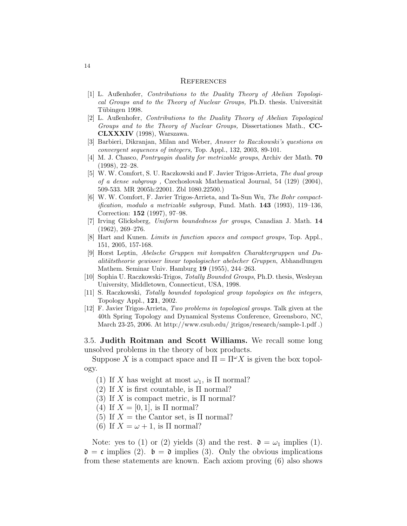#### **REFERENCES**

- [1] L. Außenhofer, Contributions to the Duality Theory of Abelian Topological Groups and to the Theory of Nuclear Groups, Ph.D. thesis. Universität Tübingen 1998.
- [2] L. Außenhofer, Contributions to the Duality Theory of Abelian Topological Groups and to the Theory of Nuclear Groups, Dissertationes Math., CC-CLXXXIV (1998), Warszawa.
- [3] Barbieri, Dikranjan, Milan and Weber, Answer to Raczkowski's questions on convergent sequences of integers, Top. Appl., 132, 2003, 89-101.
- [4] M. J. Chasco, Pontryagin duality for metrizable groups, Archiv der Math. 70 (1998), 22–28.
- [5] W. W. Comfort, S. U. Raczkowski and F. Javier Trigos-Arrieta, The dual group of a dense subgroup , Czechoslovak Mathematical Journal, 54 (129) (2004), 509-533. MR 2005h:22001. Zbl 1080.22500.)
- [6] W. W. Comfort, F. Javier Trigos-Arrieta, and Ta-Sun Wu, The Bohr compactification, modulo a metrizable subgroup, Fund. Math. 143 (1993), 119–136, Correction: 152 (1997), 97–98.
- [7] Irving Glicksberg, Uniform boundedness for groups, Canadian J. Math. 14 (1962), 269–276.
- [8] Hart and Kunen. Limits in function spaces and compact groups, Top. Appl., 151, 2005, 157-168.
- [9] Horst Leptin, Abelsche Gruppen mit kompakten Charaktergruppen und Dualitätstheorie gewisser linear topologischer abelscher Gruppen, Abhandlungen Mathem. Seminar Univ. Hamburg 19 (1955), 244–263.
- [10] Sophia U. Raczkowski-Trigos, Totally Bounded Groups, Ph.D. thesis, Wesleyan University, Middletown, Connecticut, USA, 1998.
- [11] S. Raczkowski, Totally bounded topological group topologies on the integers, Topology Appl., 121, 2002.
- [12] F. Javier Trigos-Arrieta, Two problems in topological groups. Talk given at the 40th Spring Topology and Dynamical Systems Conference, Greensboro, NC, March 23-25, 2006. At http://www.csub.edu/ jtrigos/research/sample-1.pdf .)

3.5. Judith Roitman and Scott Williams. We recall some long unsolved problems in the theory of box products.

Suppose X is a compact space and  $\Pi = \Pi^{\omega} X$  is given the box topology.

- (1) If X has weight at most  $\omega_1$ , is  $\Pi$  normal?
- (2) If X is first countable, is  $\Pi$  normal?
- (3) If X is compact metric, is  $\Pi$  normal?
- (4) If  $X = [0, 1]$ , is  $\Pi$  normal?
- (5) If  $X =$  the Cantor set, is  $\Pi$  normal?
- (6) If  $X = \omega + 1$ , is  $\Pi$  normal?

Note: yes to (1) or (2) yields (3) and the rest.  $\mathfrak{d} = \omega_1$  implies (1).  $\mathfrak{d} = \mathfrak{c}$  implies (2).  $\mathfrak{b} = \mathfrak{d}$  implies (3). Only the obvious implications from these statements are known. Each axiom proving (6) also shows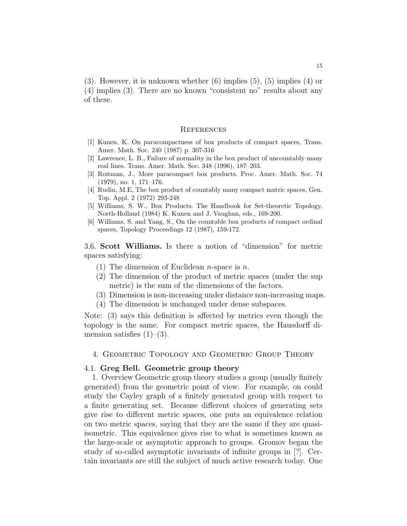(3). However, it is unknown whether (6) implies (5), (5) implies (4) or (4) implies (3). There are no known "consistent no" results about any of these.

#### **REFERENCES**

- [1] Kunen, K. On paracompactness of box products of compact spaces, Trans. Amer. Math. Soc. 240 (1987) p. 307-316
- [2] Lawrence, L. B., Failure of normality in the box product of uncountably many real lines. Trans. Amer. Math. Soc. 348 (1996), 187–203.
- [3] Roitman, J., More paracompact box products. Proc. Amer. Math. Soc. 74 (1979), no. 1, 171–176.
- [4] Rudin, M.E, The box product of countably many compact matric spaces, Gen. Top. Appl. 2 (1972) 293-248
- [5] Williams, S. W., Box Products. The Handbook for Set-theoretic Topology, North-Holland (1984) K. Kunen and J. Vaughan, eds., 169-200.
- [6] Williams, S. and Yang, S., On the countable box products of compact ordinal spaces, Topology Proceedings 12 (1987), 159-172.

3.6. Scott Williams. Is there a notion of "dimension" for metric spaces satisfying:

- (1) The dimension of Euclidean *n*-space is *n*.
- (2) The dimension of the product of metric spaces (under the sup metric) is the sum of the dimensions of the factors.
- (3) Dimension is non-increasing under distance non-increasing maps.
- (4) The dimension is unchanged under dense subspaces.

Note: (3) says this definition is affected by metrics even though the topology is the same. For compact metric spaces, the Hausdorff dimension satisfies  $(1)$ – $(3)$ .

4. Geometric Topology and Geometric Group Theory

# 4.1. Greg Bell. Geometric group theory

1. Overview Geometric group theory studies a group (usually finitely generated) from the geometric point of view. For example, on could study the Cayley graph of a finitely generated group with respect to a finite generating set. Because different choices of generating sets give rise to different metric spaces, one puts an equivalence relation on two metric spaces, saying that they are the same if they are quasiisometric. This equivalence gives rise to what is sometimes known as the large-scale or asymptotic approach to groups. Gromov began the study of so-called asymptotic invariants of infinite groups in [?]. Certain invariants are still the subject of much active research today. One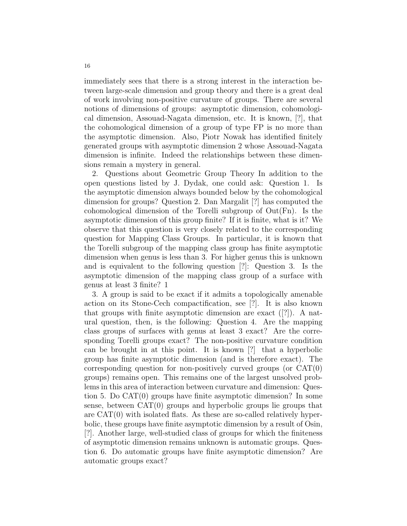immediately sees that there is a strong interest in the interaction between large-scale dimension and group theory and there is a great deal of work involving non-positive curvature of groups. There are several notions of dimensions of groups: asymptotic dimension, cohomological dimension, Assouad-Nagata dimension, etc. It is known, [?], that the cohomological dimension of a group of type FP is no more than the asymptotic dimension. Also, Piotr Nowak has identified finitely generated groups with asymptotic dimension 2 whose Assouad-Nagata dimension is infinite. Indeed the relationships between these dimensions remain a mystery in general.

2. Questions about Geometric Group Theory In addition to the open questions listed by J. Dydak, one could ask: Question 1. Is the asymptotic dimension always bounded below by the cohomological dimension for groups? Question 2. Dan Margalit [?] has computed the cohomological dimension of the Torelli subgroup of Out(Fn). Is the asymptotic dimension of this group finite? If it is finite, what is it? We observe that this question is very closely related to the corresponding question for Mapping Class Groups. In particular, it is known that the Torelli subgroup of the mapping class group has finite asymptotic dimension when genus is less than 3. For higher genus this is unknown and is equivalent to the following question [?]: Question 3. Is the asymptotic dimension of the mapping class group of a surface with genus at least 3 finite? 1

3. A group is said to be exact if it admits a topologically amenable action on its Stone-Cech compactification, see [?]. It is also known that groups with finite asymptotic dimension are exact ([?]). A natural question, then, is the following: Question 4. Are the mapping class groups of surfaces with genus at least 3 exact? Are the corresponding Torelli groups exact? The non-positive curvature condition can be brought in at this point. It is known [?] that a hyperbolic group has finite asymptotic dimension (and is therefore exact). The corresponding question for non-positively curved groups (or CAT(0) groups) remains open. This remains one of the largest unsolved problems in this area of interaction between curvature and dimension: Question 5. Do CAT(0) groups have finite asymptotic dimension? In some sense, between CAT(0) groups and hyperbolic groups lie groups that are  $CAT(0)$  with isolated flats. As these are so-called relatively hyperbolic, these groups have finite asymptotic dimension by a result of Osin, [?]. Another large, well-studied class of groups for which the finiteness of asymptotic dimension remains unknown is automatic groups. Question 6. Do automatic groups have finite asymptotic dimension? Are automatic groups exact?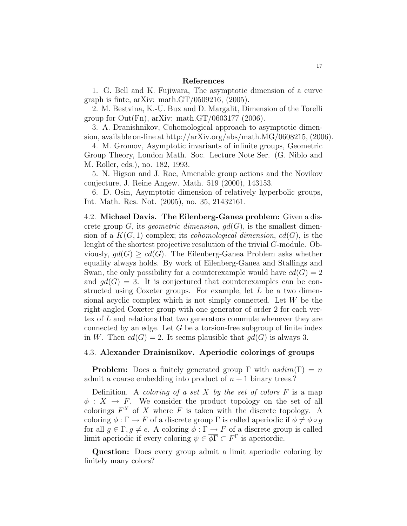### References

1. G. Bell and K. Fujiwara, The asymptotic dimension of a curve graph is finte, arXiv: math. $GT/0509216$ ,  $(2005)$ .

2. M. Bestvina, K.-U. Bux and D. Margalit, Dimension of the Torelli group for  $Out(Fn)$ , arXiv: math. $GT/0603177$  (2006).

3. A. Dranishnikov, Cohomological approach to asymptotic dimension, available on-line at http://arXiv.org/abs/math.MG/0608215, (2006).

4. M. Gromov, Asymptotic invariants of infinite groups, Geometric Group Theory, London Math. Soc. Lecture Note Ser. (G. Niblo and M. Roller, eds.), no. 182, 1993.

5. N. Higson and J. Roe, Amenable group actions and the Novikov conjecture, J. Reine Angew. Math. 519 (2000), 143153.

6. D. Osin, Asymptotic dimension of relatively hyperbolic groups, Int. Math. Res. Not. (2005), no. 35, 21432161.

4.2. Michael Davis. The Eilenberg-Ganea problem: Given a discrete group G, its geometric dimension,  $gd(G)$ , is the smallest dimension of a  $K(G, 1)$  complex; its *cohomological dimension*,  $cd(G)$ , is the lenght of the shortest projective resolution of the trivial G-module. Obviously,  $gd(G) > cd(G)$ . The Eilenberg-Ganea Problem asks whether equality always holds. By work of Eilenberg-Ganea and Stallings and Swan, the only possibility for a counterexample would have  $cd(G) = 2$ and  $qd(G) = 3$ . It is conjectured that counterexamples can be constructed using Coxeter groups. For example, let  $L$  be a two dimensional acyclic complex which is not simply connected. Let W be the right-angled Coxeter group with one generator of order 2 for each vertex of L and relations that two generators commute whenever they are connected by an edge. Let  $G$  be a torsion-free subgroup of finite index in W. Then  $cd(G) = 2$ . It seems plausible that  $gd(G)$  is always 3.

## 4.3. Alexander Drainisnikov. Aperiodic colorings of groups

**Problem:** Does a finitely generated group  $\Gamma$  with  $asdim(\Gamma) = n$ admit a coarse embedding into product of  $n + 1$  binary trees.?

Definition. A coloring of a set X by the set of colors  $F$  is a map  $\phi: X \to F$ . We consider the product topology on the set of all colorings  $F^X$  of X where F is taken with the discrete topology. A coloring  $\phi : \Gamma \to F$  of a discrete group  $\Gamma$  is called aperiodic if  $\phi \neq \phi \circ g$ for all  $g \in \Gamma, g \neq e$ . A coloring  $\phi : \Gamma \to F$  of a discrete group is called limit aperiodic if every coloring  $\psi \in \overline{\phi\Gamma} \subset F^{\Gamma}$  is aperiordic.

Question: Does every group admit a limit aperiodic coloring by finitely many colors?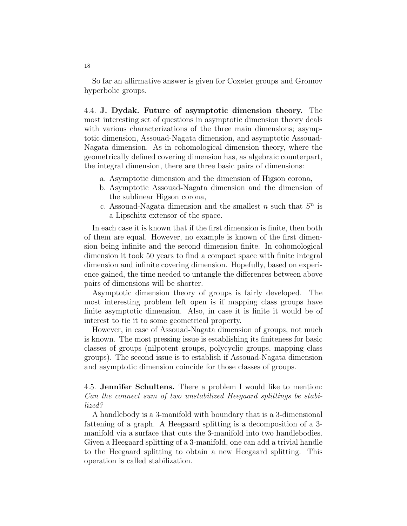So far an affirmative answer is given for Coxeter groups and Gromov hyperbolic groups.

4.4. J. Dydak. Future of asymptotic dimension theory. The most interesting set of questions in asymptotic dimension theory deals with various characterizations of the three main dimensions; asymptotic dimension, Assouad-Nagata dimension, and asymptotic Assouad-Nagata dimension. As in cohomological dimension theory, where the geometrically defined covering dimension has, as algebraic counterpart, the integral dimension, there are three basic pairs of dimensions:

- a. Asymptotic dimension and the dimension of Higson corona,
- b. Asymptotic Assouad-Nagata dimension and the dimension of the sublinear Higson corona,
- c. Assouad-Nagata dimension and the smallest  $n$  such that  $S<sup>n</sup>$  is a Lipschitz extensor of the space.

In each case it is known that if the first dimension is finite, then both of them are equal. However, no example is known of the first dimension being infinite and the second dimension finite. In cohomological dimension it took 50 years to find a compact space with finite integral dimension and infinite covering dimension. Hopefully, based on experience gained, the time needed to untangle the differences between above pairs of dimensions will be shorter.

Asymptotic dimension theory of groups is fairly developed. The most interesting problem left open is if mapping class groups have finite asymptotic dimension. Also, in case it is finite it would be of interest to tie it to some geometrical property.

However, in case of Assouad-Nagata dimension of groups, not much is known. The most pressing issue is establishing its finiteness for basic classes of groups (nilpotent groups, polycyclic groups, mapping class groups). The second issue is to establish if Assouad-Nagata dimension and asymptotic dimension coincide for those classes of groups.

4.5. Jennifer Schultens. There a problem I would like to mention: Can the connect sum of two unstabilized Heegaard splittings be stabilized?

A handlebody is a 3-manifold with boundary that is a 3-dimensional fattening of a graph. A Heegaard splitting is a decomposition of a 3 manifold via a surface that cuts the 3-manifold into two handlebodies. Given a Heegaard splitting of a 3-manifold, one can add a trivial handle to the Heegaard splitting to obtain a new Heegaard splitting. This operation is called stabilization.

18